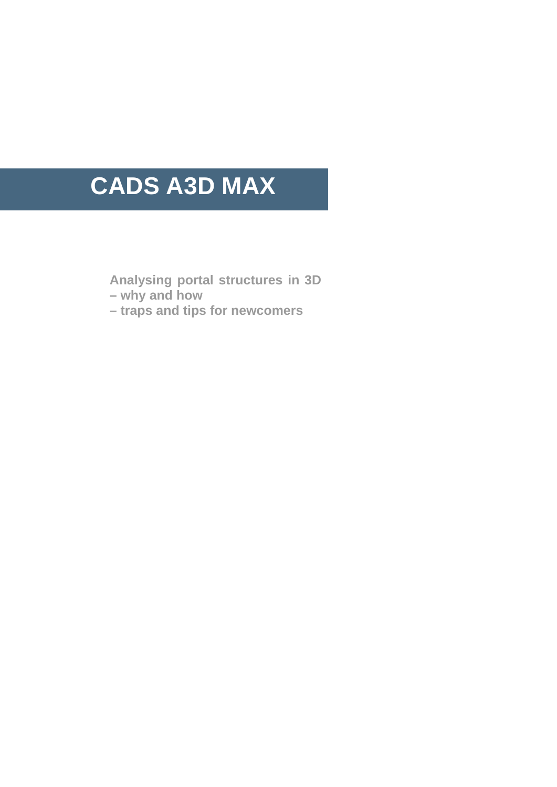# **CADS A3D MAX**

**Analysing portal structures in 3D** 

**– why and how** 

**– traps and tips for newcomers**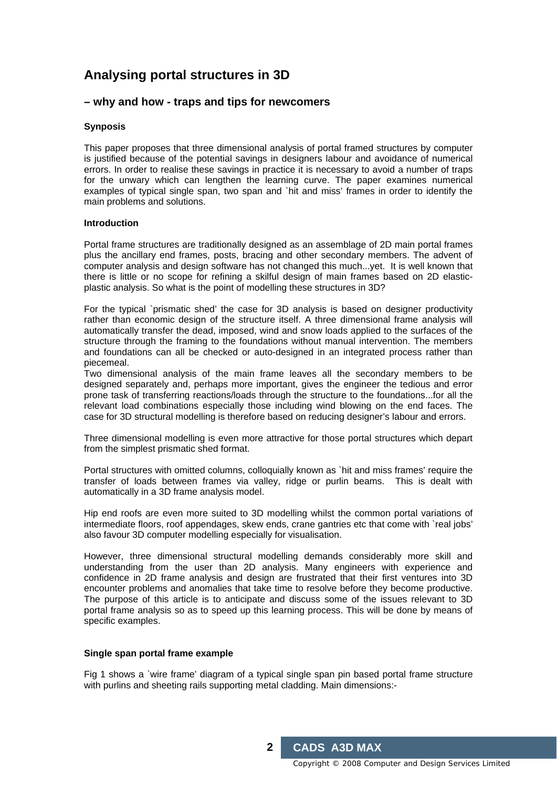# **Analysing portal structures in 3D**

## **– why and how - traps and tips for newcomers**

### **Synposis**

This paper proposes that three dimensional analysis of portal framed structures by computer is justified because of the potential savings in designers labour and avoidance of numerical errors. In order to realise these savings in practice it is necessary to avoid a number of traps for the unwary which can lengthen the learning curve. The paper examines numerical examples of typical single span, two span and `hit and miss' frames in order to identify the main problems and solutions.

#### **Introduction**

Portal frame structures are traditionally designed as an assemblage of 2D main portal frames plus the ancillary end frames, posts, bracing and other secondary members. The advent of computer analysis and design software has not changed this much...yet. It is well known that there is little or no scope for refining a skilful design of main frames based on 2D elasticplastic analysis. So what is the point of modelling these structures in 3D?

For the typical `prismatic shed' the case for 3D analysis is based on designer productivity rather than economic design of the structure itself. A three dimensional frame analysis will automatically transfer the dead, imposed, wind and snow loads applied to the surfaces of the structure through the framing to the foundations without manual intervention. The members and foundations can all be checked or auto-designed in an integrated process rather than piecemeal.

Two dimensional analysis of the main frame leaves all the secondary members to be designed separately and, perhaps more important, gives the engineer the tedious and error prone task of transferring reactions/loads through the structure to the foundations...for all the relevant load combinations especially those including wind blowing on the end faces. The case for 3D structural modelling is therefore based on reducing designer's labour and errors.

Three dimensional modelling is even more attractive for those portal structures which depart from the simplest prismatic shed format.

Portal structures with omitted columns, colloquially known as `hit and miss frames' require the transfer of loads between frames via valley, ridge or purlin beams. This is dealt with automatically in a 3D frame analysis model.

Hip end roofs are even more suited to 3D modelling whilst the common portal variations of intermediate floors, roof appendages, skew ends, crane gantries etc that come with `real jobs' also favour 3D computer modelling especially for visualisation.

However, three dimensional structural modelling demands considerably more skill and understanding from the user than 2D analysis. Many engineers with experience and confidence in 2D frame analysis and design are frustrated that their first ventures into 3D encounter problems and anomalies that take time to resolve before they become productive. The purpose of this article is to anticipate and discuss some of the issues relevant to 3D portal frame analysis so as to speed up this learning process. This will be done by means of specific examples.

#### **Single span portal frame example**

Fig 1 shows a `wire frame' diagram of a typical single span pin based portal frame structure with purlins and sheeting rails supporting metal cladding. Main dimensions:-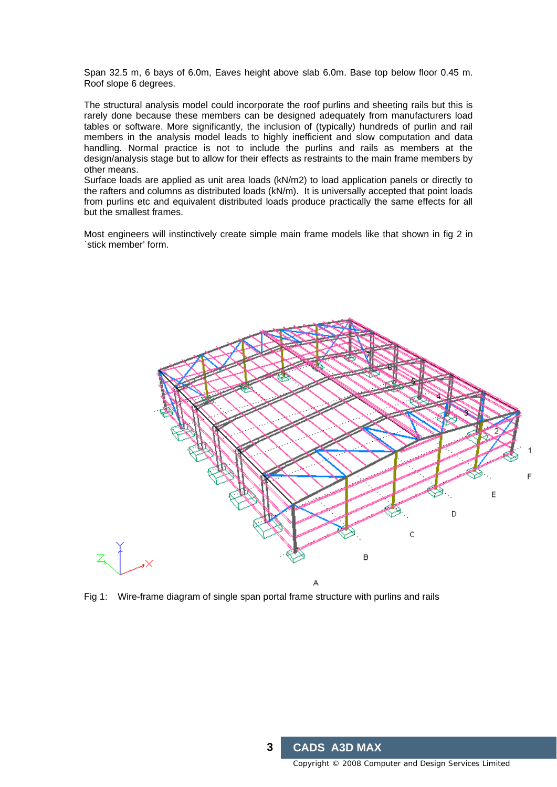Span 32.5 m, 6 bays of 6.0m, Eaves height above slab 6.0m. Base top below floor 0.45 m. Roof slope 6 degrees.

The structural analysis model could incorporate the roof purlins and sheeting rails but this is rarely done because these members can be designed adequately from manufacturers load tables or software. More significantly, the inclusion of (typically) hundreds of purlin and rail members in the analysis model leads to highly inefficient and slow computation and data handling. Normal practice is not to include the purlins and rails as members at the design/analysis stage but to allow for their effects as restraints to the main frame members by other means.

Surface loads are applied as unit area loads (kN/m2) to load application panels or directly to the rafters and columns as distributed loads (kN/m). It is universally accepted that point loads from purlins etc and equivalent distributed loads produce practically the same effects for all but the smallest frames.

Most engineers will instinctively create simple main frame models like that shown in fig 2 in `stick member' form.



Fig 1: Wire-frame diagram of single span portal frame structure with purlins and rails

Copyright © 2008 Computer and Design Services Limited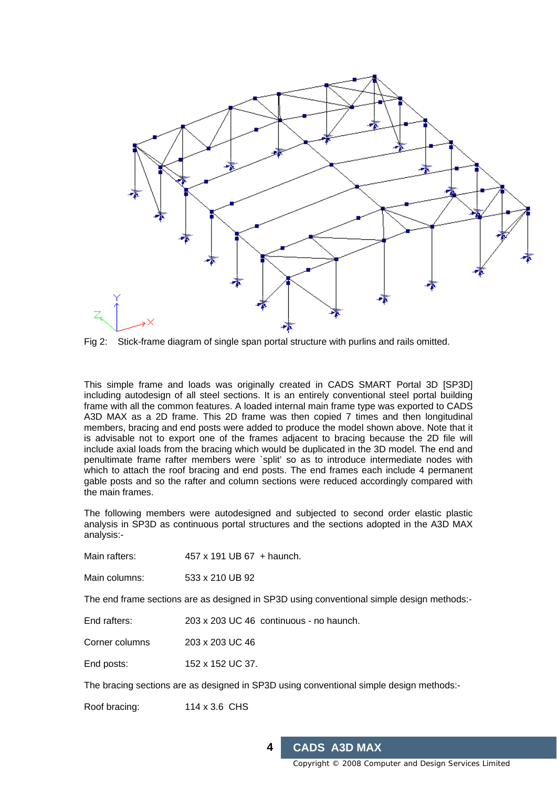

Fig 2: Stick-frame diagram of single span portal structure with purlins and rails omitted.

This simple frame and loads was originally created in CADS SMART Portal 3D [SP3D] including autodesign of all steel sections. It is an entirely conventional steel portal building frame with all the common features. A loaded internal main frame type was exported to CADS A3D MAX as a 2D frame. This 2D frame was then copied 7 times and then longitudinal members, bracing and end posts were added to produce the model shown above. Note that it is advisable not to export one of the frames adjacent to bracing because the 2D file will include axial loads from the bracing which would be duplicated in the 3D model. The end and penultimate frame rafter members were `split' so as to introduce intermediate nodes with which to attach the roof bracing and end posts. The end frames each include 4 permanent gable posts and so the rafter and column sections were reduced accordingly compared with the main frames.

The following members were autodesigned and subjected to second order elastic plastic analysis in SP3D as continuous portal structures and the sections adopted in the A3D MAX analysis:-

Main rafters: 457 x 191 UB 67 + haunch.

Main columns: 533 x 210 UB 92

The end frame sections are as designed in SP3D using conventional simple design methods:-

End rafters: 203 x 203 UC 46 continuous - no haunch.

Corner columns 203 x 203 UC 46

End posts: 152 x 152 UC 37.

The bracing sections are as designed in SP3D using conventional simple design methods:-

Roof bracing: 114 x 3.6 CHS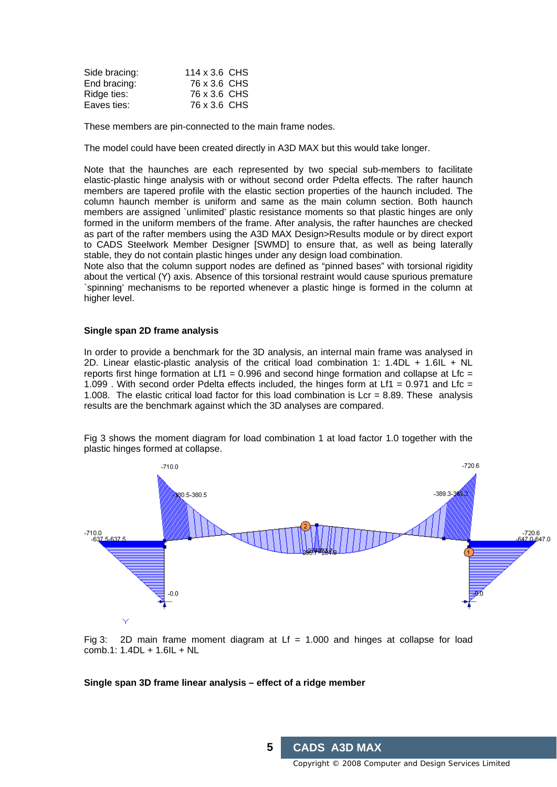| Side bracing: | 114 x 3.6 CHS |  |
|---------------|---------------|--|
| End bracing:  | 76 x 3.6 CHS  |  |
| Ridge ties:   | 76 x 3.6 CHS  |  |
| Eaves ties:   | 76 x 3.6 CHS  |  |

These members are pin-connected to the main frame nodes.

The model could have been created directly in A3D MAX but this would take longer.

Note that the haunches are each represented by two special sub-members to facilitate elastic-plastic hinge analysis with or without second order Pdelta effects. The rafter haunch members are tapered profile with the elastic section properties of the haunch included. The column haunch member is uniform and same as the main column section. Both haunch members are assigned `unlimited' plastic resistance moments so that plastic hinges are only formed in the uniform members of the frame. After analysis, the rafter haunches are checked as part of the rafter members using the A3D MAX Design>Results module or by direct export to CADS Steelwork Member Designer [SWMD] to ensure that, as well as being laterally stable, they do not contain plastic hinges under any design load combination.

Note also that the column support nodes are defined as "pinned bases" with torsional rigidity about the vertical (Y) axis. Absence of this torsional restraint would cause spurious premature spinning' mechanisms to be reported whenever a plastic hinge is formed in the column at higher level.

#### **Single span 2D frame analysis**

In order to provide a benchmark for the 3D analysis, an internal main frame was analysed in 2D. Linear elastic-plastic analysis of the critical load combination 1: 1.4DL + 1.6IL + NL reports first hinge formation at  $Lf1 = 0.996$  and second hinge formation and collapse at Lfc = 1.099 . With second order Pdelta effects included, the hinges form at Lf1 = 0.971 and Lfc = 1.008. The elastic critical load factor for this load combination is  $Lcr = 8.89$ . These analysis results are the benchmark against which the 3D analyses are compared.

Fig 3 shows the moment diagram for load combination 1 at load factor 1.0 together with the plastic hinges formed at collapse.



Fig 3: 2D main frame moment diagram at  $Lf = 1.000$  and hinges at collapse for load comb.1: 1.4DL + 1.6IL + NL

#### **Single span 3D frame linear analysis – effect of a ridge member**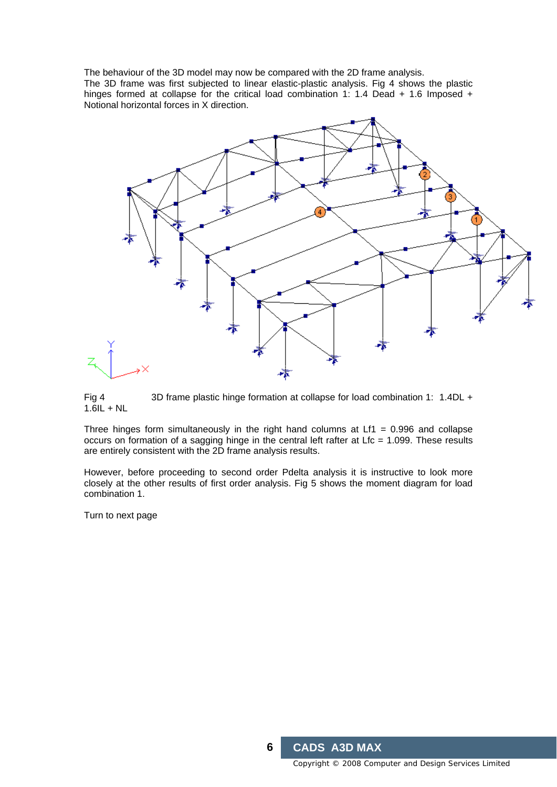The behaviour of the 3D model may now be compared with the 2D frame analysis. The 3D frame was first subjected to linear elastic-plastic analysis. Fig 4 shows the plastic hinges formed at collapse for the critical load combination 1: 1.4 Dead  $+$  1.6 Imposed  $+$ Notional horizontal forces in X direction.



Fig 4 3D frame plastic hinge formation at collapse for load combination 1: 1.4DL +  $1.6$ IL + NL

Three hinges form simultaneously in the right hand columns at  $Lf1 = 0.996$  and collapse occurs on formation of a sagging hinge in the central left rafter at Lfc = 1.099. These results are entirely consistent with the 2D frame analysis results.

However, before proceeding to second order Pdelta analysis it is instructive to look more closely at the other results of first order analysis. Fig 5 shows the moment diagram for load combination 1.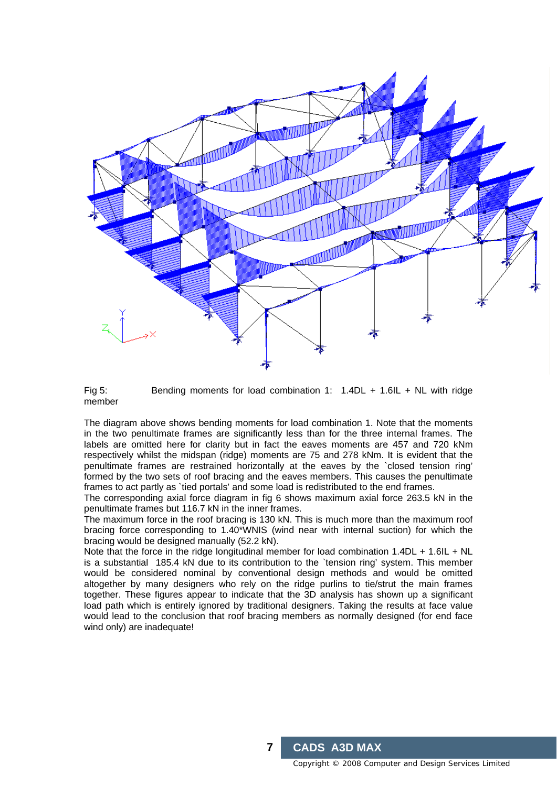

Fig 5: Bending moments for load combination 1: 1.4DL + 1.6IL + NL with ridge member

The diagram above shows bending moments for load combination 1. Note that the moments in the two penultimate frames are significantly less than for the three internal frames. The labels are omitted here for clarity but in fact the eaves moments are 457 and 720 kNm respectively whilst the midspan (ridge) moments are 75 and 278 kNm. It is evident that the penultimate frames are restrained horizontally at the eaves by the `closed tension ring' formed by the two sets of roof bracing and the eaves members. This causes the penultimate frames to act partly as `tied portals' and some load is redistributed to the end frames.

The corresponding axial force diagram in fig 6 shows maximum axial force 263.5 kN in the penultimate frames but 116.7 kN in the inner frames.

The maximum force in the roof bracing is 130 kN. This is much more than the maximum roof bracing force corresponding to 1.40\*WNIS (wind near with internal suction) for which the bracing would be designed manually (52.2 kN).

Note that the force in the ridge longitudinal member for load combination 1.4DL + 1.6IL + NL is a substantial 185.4 kN due to its contribution to the `tension ring' system. This member would be considered nominal by conventional design methods and would be omitted altogether by many designers who rely on the ridge purlins to tie/strut the main frames together. These figures appear to indicate that the 3D analysis has shown up a significant load path which is entirely ignored by traditional designers. Taking the results at face value would lead to the conclusion that roof bracing members as normally designed (for end face wind only) are inadequate!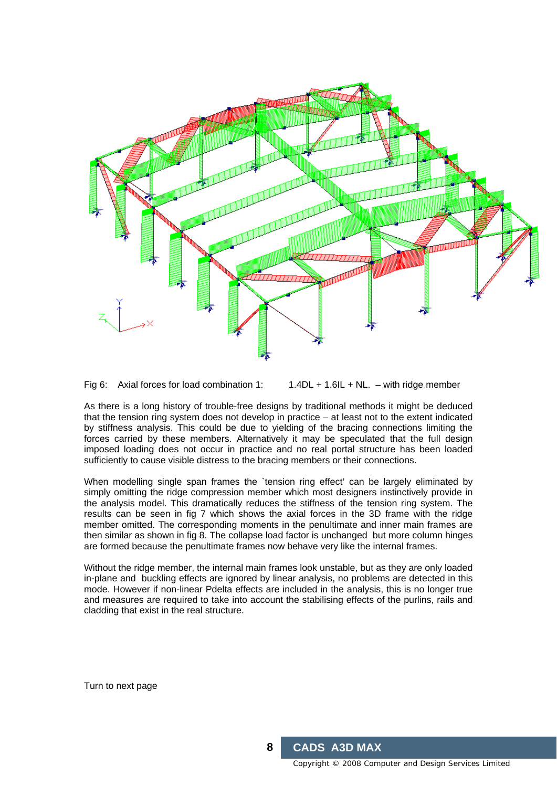

Fig 6: Axial forces for load combination 1:  $1.4DL + 1.6IL + NL$ . – with ridge member

As there is a long history of trouble-free designs by traditional methods it might be deduced that the tension ring system does not develop in practice – at least not to the extent indicated by stiffness analysis. This could be due to yielding of the bracing connections limiting the forces carried by these members. Alternatively it may be speculated that the full design imposed loading does not occur in practice and no real portal structure has been loaded sufficiently to cause visible distress to the bracing members or their connections.

When modelling single span frames the 'tension ring effect' can be largely eliminated by simply omitting the ridge compression member which most designers instinctively provide in the analysis model. This dramatically reduces the stiffness of the tension ring system. The results can be seen in fig 7 which shows the axial forces in the 3D frame with the ridge member omitted. The corresponding moments in the penultimate and inner main frames are then similar as shown in fig 8. The collapse load factor is unchanged but more column hinges are formed because the penultimate frames now behave very like the internal frames.

Without the ridge member, the internal main frames look unstable, but as they are only loaded in-plane and buckling effects are ignored by linear analysis, no problems are detected in this mode. However if non-linear Pdelta effects are included in the analysis, this is no longer true and measures are required to take into account the stabilising effects of the purlins, rails and cladding that exist in the real structure.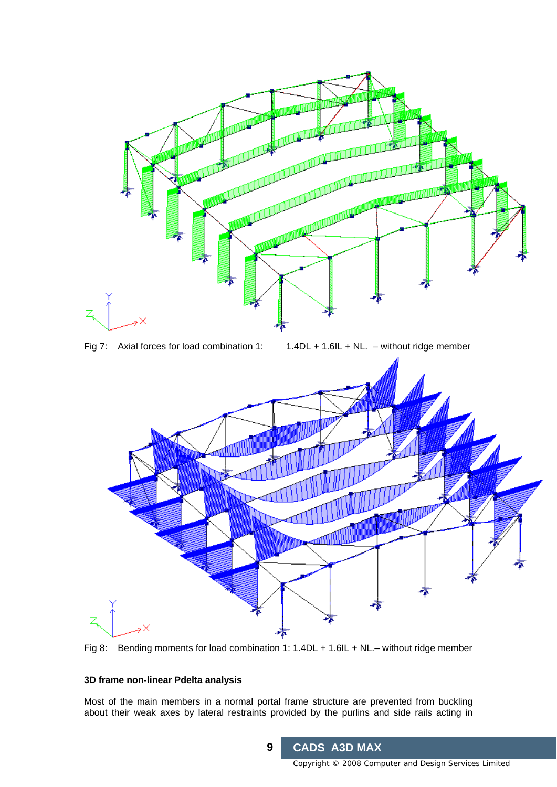



# **3D frame non-linear Pdelta analysis**

Most of the main members in a normal portal frame structure are prevented from buckling about their weak axes by lateral restraints provided by the purlins and side rails acting in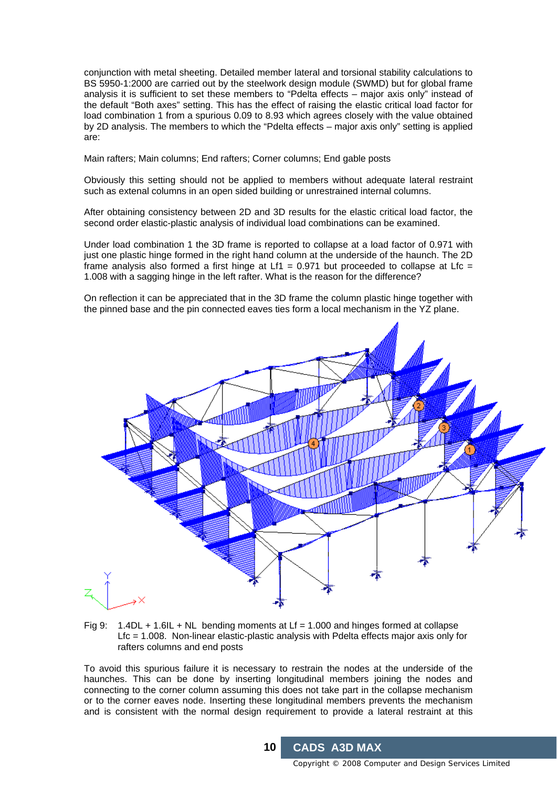conjunction with metal sheeting. Detailed member lateral and torsional stability calculations to BS 5950-1:2000 are carried out by the steelwork design module (SWMD) but for global frame analysis it is sufficient to set these members to "Pdelta effects – major axis only" instead of the default "Both axes" setting. This has the effect of raising the elastic critical load factor for load combination 1 from a spurious 0.09 to 8.93 which agrees closely with the value obtained by 2D analysis. The members to which the "Pdelta effects – major axis only" setting is applied are:

Main rafters; Main columns; End rafters; Corner columns; End gable posts

Obviously this setting should not be applied to members without adequate lateral restraint such as extenal columns in an open sided building or unrestrained internal columns.

After obtaining consistency between 2D and 3D results for the elastic critical load factor, the second order elastic-plastic analysis of individual load combinations can be examined.

Under load combination 1 the 3D frame is reported to collapse at a load factor of 0.971 with just one plastic hinge formed in the right hand column at the underside of the haunch. The 2D frame analysis also formed a first hinge at Lf1 = 0.971 but proceeded to collapse at Lfc = 1.008 with a sagging hinge in the left rafter. What is the reason for the difference?

On reflection it can be appreciated that in the 3D frame the column plastic hinge together with the pinned base and the pin connected eaves ties form a local mechanism in the YZ plane.



Fig 9:  $1.4DL + 1.6IL + NL$  bending moments at Lf = 1.000 and hinges formed at collapse Lfc = 1.008. Non-linear elastic-plastic analysis with Pdelta effects major axis only for rafters columns and end posts

To avoid this spurious failure it is necessary to restrain the nodes at the underside of the haunches. This can be done by inserting longitudinal members joining the nodes and connecting to the corner column assuming this does not take part in the collapse mechanism or to the corner eaves node. Inserting these longitudinal members prevents the mechanism and is consistent with the normal design requirement to provide a lateral restraint at this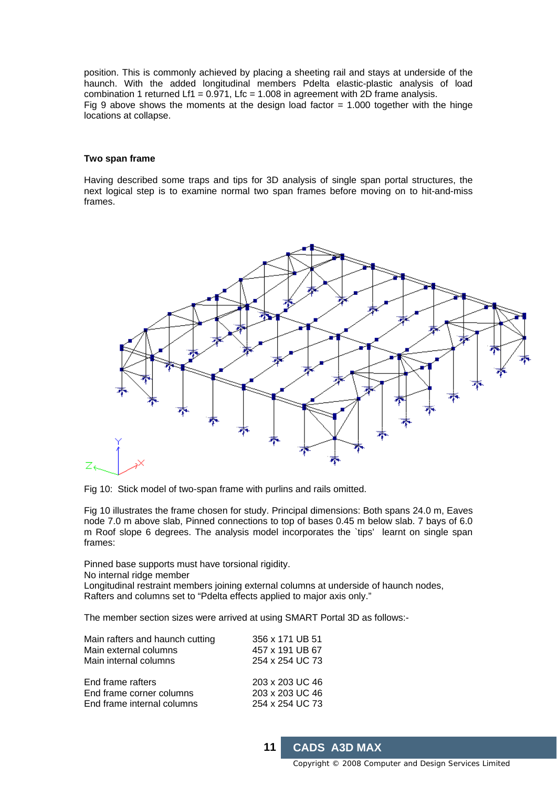position. This is commonly achieved by placing a sheeting rail and stays at underside of the haunch. With the added longitudinal members Pdelta elastic-plastic analysis of load combination 1 returned Lf1 =  $0.971$ , Lfc = 1.008 in agreement with 2D frame analysis. Fig 9 above shows the moments at the design load factor  $= 1.000$  together with the hinge locations at collapse.

#### **Two span frame**

Having described some traps and tips for 3D analysis of single span portal structures, the next logical step is to examine normal two span frames before moving on to hit-and-miss frames.



Fig 10: Stick model of two-span frame with purlins and rails omitted.

Fig 10 illustrates the frame chosen for study. Principal dimensions: Both spans 24.0 m, Eaves node 7.0 m above slab, Pinned connections to top of bases 0.45 m below slab. 7 bays of 6.0 m Roof slope 6 degrees. The analysis model incorporates the `tips' learnt on single span frames:

Pinned base supports must have torsional rigidity.

No internal ridge member

Longitudinal restraint members joining external columns at underside of haunch nodes, Rafters and columns set to "Pdelta effects applied to major axis only."

The member section sizes were arrived at using SMART Portal 3D as follows:-

| Main rafters and haunch cutting | 356 x 171 UB 51 |
|---------------------------------|-----------------|
| Main external columns           | 457 x 191 UB 67 |
| Main internal columns           | 254 x 254 UC 73 |
| End frame rafters               | 203 x 203 UC 46 |
| End frame corner columns        | 203 x 203 UC 46 |
| End frame internal columns      | 254 x 254 UC 73 |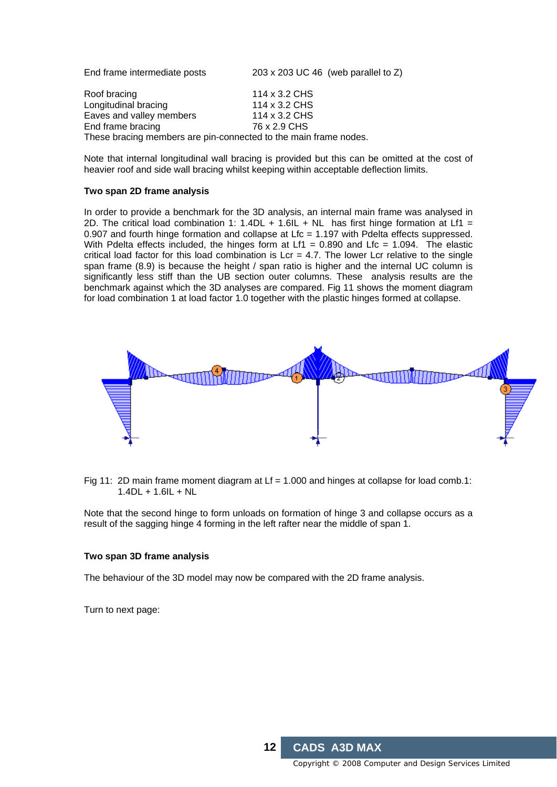| End frame intermediate posts                                                          | 203 x 203 UC 46 (web parallel to $Z$ )          |
|---------------------------------------------------------------------------------------|-------------------------------------------------|
| Roof bracing<br>Longitudinal bracing<br>Eaves and valley members                      | 114 x 3.2 CHS<br>114 x 3.2 CHS<br>114 x 3.2 CHS |
| End frame bracing<br>These bracing members are pin-connected to the main frame nodes. | 76 x 2.9 CHS                                    |
|                                                                                       |                                                 |

Note that internal longitudinal wall bracing is provided but this can be omitted at the cost of heavier roof and side wall bracing whilst keeping within acceptable deflection limits.

#### **Two span 2D frame analysis**

In order to provide a benchmark for the 3D analysis, an internal main frame was analysed in 2D. The critical load combination 1: 1.4DL + 1.6IL + NL has first hinge formation at Lf1 = 0.907 and fourth hinge formation and collapse at Lfc = 1.197 with Pdelta effects suppressed. With Pdelta effects included, the hinges form at Lf1 =  $0.890$  and Lfc = 1.094. The elastic critical load factor for this load combination is  $Lcr = 4.7$ . The lower Lcr relative to the single span frame (8.9) is because the height / span ratio is higher and the internal UC column is significantly less stiff than the UB section outer columns. These analysis results are the benchmark against which the 3D analyses are compared. Fig 11 shows the moment diagram for load combination 1 at load factor 1.0 together with the plastic hinges formed at collapse.



Fig 11: 2D main frame moment diagram at  $Lf = 1.000$  and hinges at collapse for load comb.1: 1.4DL + 1.6IL + NL

Note that the second hinge to form unloads on formation of hinge 3 and collapse occurs as a result of the sagging hinge 4 forming in the left rafter near the middle of span 1.

#### **Two span 3D frame analysis**

The behaviour of the 3D model may now be compared with the 2D frame analysis.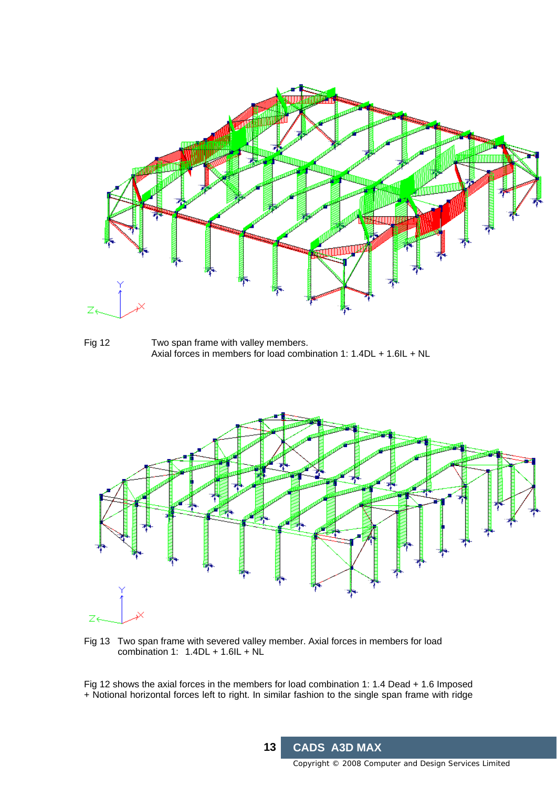

Fig 12 Two span frame with valley members. Axial forces in members for load combination 1: 1.4DL + 1.6IL + NL



Fig 13 Two span frame with severed valley member. Axial forces in members for load combination 1:  $1.4DL + 1.6IL + NL$ 

Fig 12 shows the axial forces in the members for load combination 1: 1.4 Dead + 1.6 Imposed + Notional horizontal forces left to right. In similar fashion to the single span frame with ridge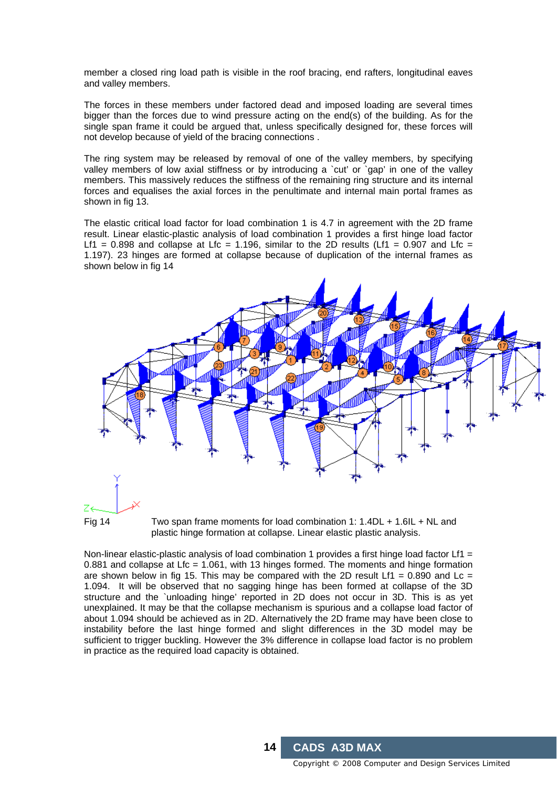member a closed ring load path is visible in the roof bracing, end rafters, longitudinal eaves and valley members.

The forces in these members under factored dead and imposed loading are several times bigger than the forces due to wind pressure acting on the end(s) of the building. As for the single span frame it could be argued that, unless specifically designed for, these forces will not develop because of yield of the bracing connections .

The ring system may be released by removal of one of the valley members, by specifying valley members of low axial stiffness or by introducing a 'cut' or 'gap' in one of the valley members. This massively reduces the stiffness of the remaining ring structure and its internal forces and equalises the axial forces in the penultimate and internal main portal frames as shown in fig 13.

The elastic critical load factor for load combination 1 is 4.7 in agreement with the 2D frame result. Linear elastic-plastic analysis of load combination 1 provides a first hinge load factor Lf1 = 0.898 and collapse at Lfc = 1.196, similar to the 2D results (Lf1 = 0.907 and Lfc = 1.197). 23 hinges are formed at collapse because of duplication of the internal frames as shown below in fig 14





Fig 14 Two span frame moments for load combination 1: 1.4DL + 1.6IL + NL and plastic hinge formation at collapse. Linear elastic plastic analysis.

Non-linear elastic-plastic analysis of load combination 1 provides a first hinge load factor  $Lf1 =$ 0.881 and collapse at Lfc = 1.061, with 13 hinges formed. The moments and hinge formation are shown below in fig 15. This may be compared with the 2D result Lf1 =  $0.890$  and Lc = 1.094. It will be observed that no sagging hinge has been formed at collapse of the 3D structure and the `unloading hinge' reported in 2D does not occur in 3D. This is as yet unexplained. It may be that the collapse mechanism is spurious and a collapse load factor of about 1.094 should be achieved as in 2D. Alternatively the 2D frame may have been close to instability before the last hinge formed and slight differences in the 3D model may be sufficient to trigger buckling. However the 3% difference in collapse load factor is no problem in practice as the required load capacity is obtained.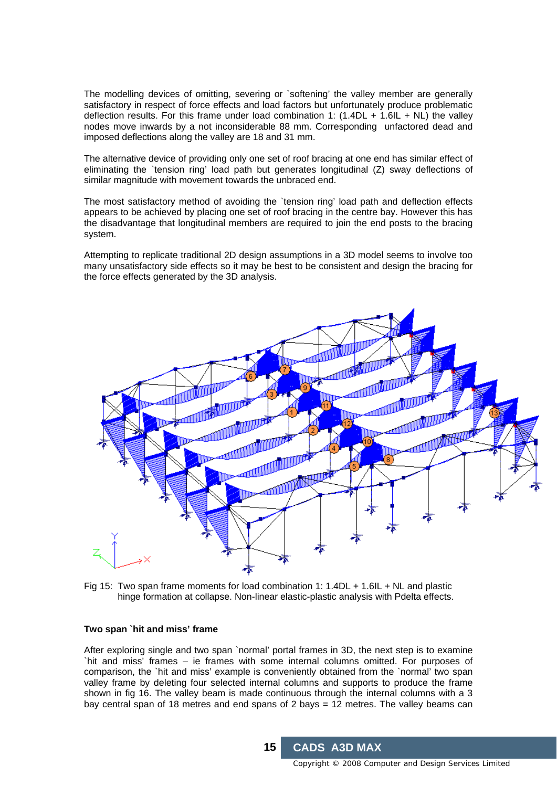The modelling devices of omitting, severing or `softening' the valley member are generally satisfactory in respect of force effects and load factors but unfortunately produce problematic deflection results. For this frame under load combination 1:  $(1.4DL + 1.6IL + NL)$  the valley nodes move inwards by a not inconsiderable 88 mm. Corresponding unfactored dead and imposed deflections along the valley are 18 and 31 mm.

The alternative device of providing only one set of roof bracing at one end has similar effect of eliminating the `tension ring' load path but generates longitudinal (Z) sway deflections of similar magnitude with movement towards the unbraced end.

The most satisfactory method of avoiding the `tension ring' load path and deflection effects appears to be achieved by placing one set of roof bracing in the centre bay. However this has the disadvantage that longitudinal members are required to join the end posts to the bracing system.

Attempting to replicate traditional 2D design assumptions in a 3D model seems to involve too many unsatisfactory side effects so it may be best to be consistent and design the bracing for the force effects generated by the 3D analysis.



Fig 15: Two span frame moments for load combination 1: 1.4DL + 1.6IL + NL and plastic hinge formation at collapse. Non-linear elastic-plastic analysis with Pdelta effects.

#### **Two span `hit and miss' frame**

After exploring single and two span `normal' portal frames in 3D, the next step is to examine `hit and miss' frames – ie frames with some internal columns omitted. For purposes of comparison, the `hit and miss' example is conveniently obtained from the `normal' two span valley frame by deleting four selected internal columns and supports to produce the frame shown in fig 16. The valley beam is made continuous through the internal columns with a 3 bay central span of 18 metres and end spans of 2 bays = 12 metres. The valley beams can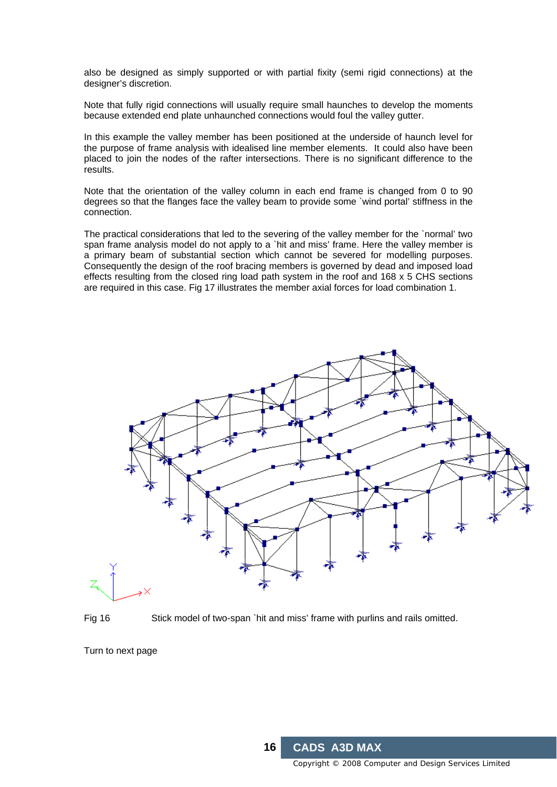also be designed as simply supported or with partial fixity (semi rigid connections) at the designer's discretion.

Note that fully rigid connections will usually require small haunches to develop the moments because extended end plate unhaunched connections would foul the valley gutter.

In this example the valley member has been positioned at the underside of haunch level for the purpose of frame analysis with idealised line member elements. It could also have been placed to join the nodes of the rafter intersections. There is no significant difference to the results.

Note that the orientation of the valley column in each end frame is changed from 0 to 90 degrees so that the flanges face the valley beam to provide some `wind portal' stiffness in the connection.

The practical considerations that led to the severing of the valley member for the `normal' two span frame analysis model do not apply to a `hit and miss' frame. Here the valley member is a primary beam of substantial section which cannot be severed for modelling purposes. Consequently the design of the roof bracing members is governed by dead and imposed load effects resulting from the closed ring load path system in the roof and 168 x 5 CHS sections are required in this case. Fig 17 illustrates the member axial forces for load combination 1.



Fig 16 Stick model of two-span `hit and miss' frame with purlins and rails omitted.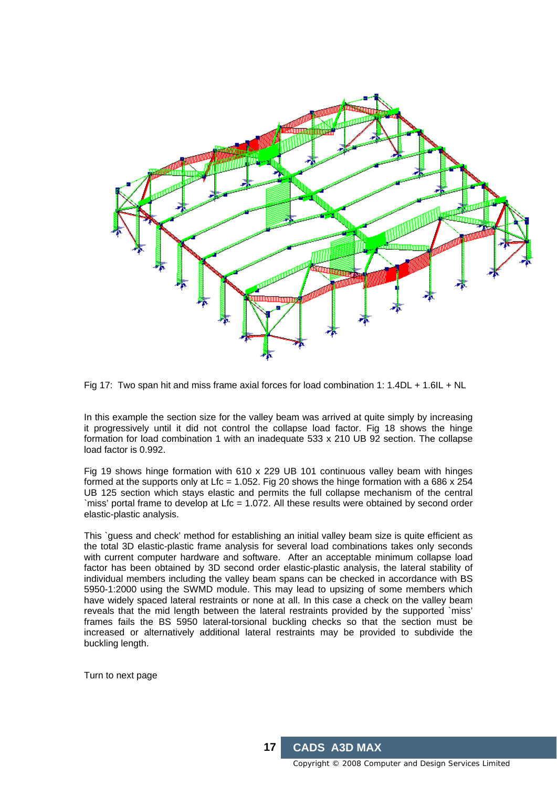



In this example the section size for the valley beam was arrived at quite simply by increasing it progressively until it did not control the collapse load factor. Fig 18 shows the hinge formation for load combination 1 with an inadequate 533 x 210 UB 92 section. The collapse load factor is 0.992.

Fig 19 shows hinge formation with 610 x 229 UB 101 continuous valley beam with hinges formed at the supports only at Lfc = 1.052. Fig 20 shows the hinge formation with a 686  $\times$  254 UB 125 section which stays elastic and permits the full collapse mechanism of the central `miss' portal frame to develop at Lfc = 1.072. All these results were obtained by second order elastic-plastic analysis.

This `guess and check' method for establishing an initial valley beam size is quite efficient as the total 3D elastic-plastic frame analysis for several load combinations takes only seconds with current computer hardware and software. After an acceptable minimum collapse load factor has been obtained by 3D second order elastic-plastic analysis, the lateral stability of individual members including the valley beam spans can be checked in accordance with BS 5950-1:2000 using the SWMD module. This may lead to upsizing of some members which have widely spaced lateral restraints or none at all. In this case a check on the valley beam reveals that the mid length between the lateral restraints provided by the supported `miss' frames fails the BS 5950 lateral-torsional buckling checks so that the section must be increased or alternatively additional lateral restraints may be provided to subdivide the buckling length.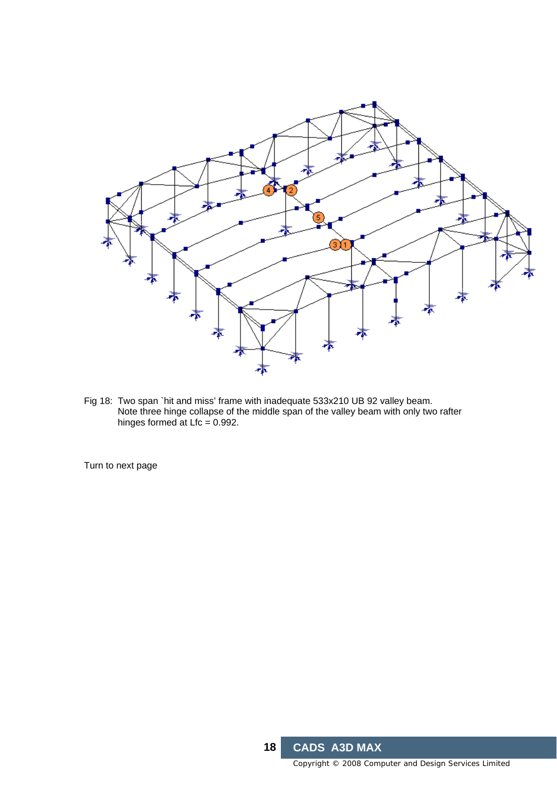

Fig 18: Two span `hit and miss' frame with inadequate 533x210 UB 92 valley beam. Note three hinge collapse of the middle span of the valley beam with only two rafter hinges formed at  $Lfc = 0.992$ .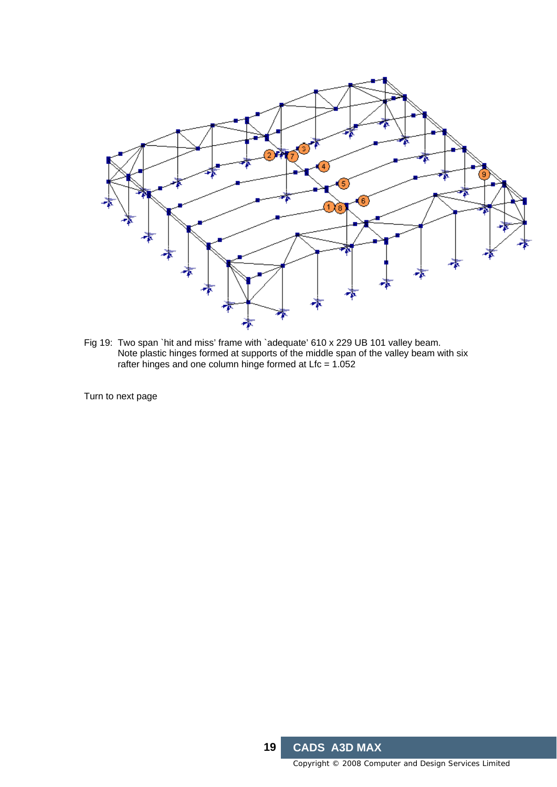

Fig 19: Two span `hit and miss' frame with `adequate' 610 x 229 UB 101 valley beam. Note plastic hinges formed at supports of the middle span of the valley beam with six rafter hinges and one column hinge formed at Lfc = 1.052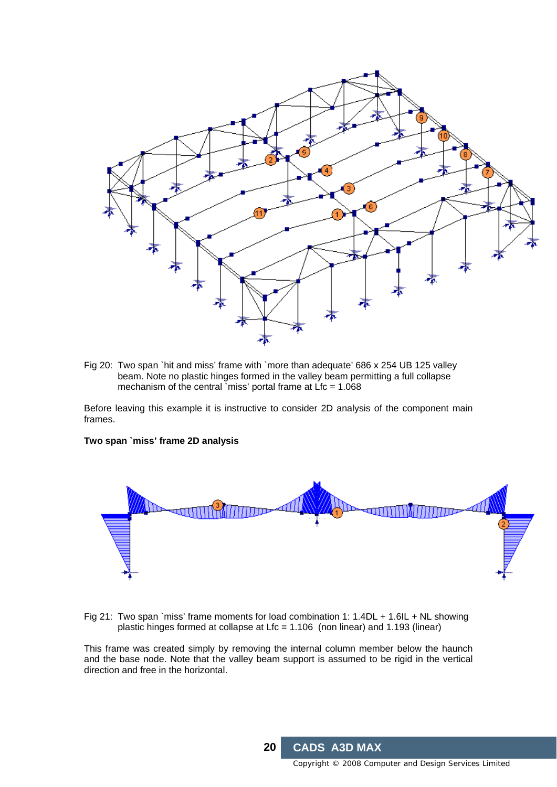

Fig 20: Two span `hit and miss' frame with `more than adequate' 686 x 254 UB 125 valley beam. Note no plastic hinges formed in the valley beam permitting a full collapse mechanism of the central `miss' portal frame at  $Lfc = 1.068$ 

Before leaving this example it is instructive to consider 2D analysis of the component main frames.

#### **Two span `miss' frame 2D analysis**



Fig 21: Two span `miss' frame moments for load combination 1: 1.4DL + 1.6IL + NL showing plastic hinges formed at collapse at Lfc = 1.106 (non linear) and 1.193 (linear)

This frame was created simply by removing the internal column member below the haunch and the base node. Note that the valley beam support is assumed to be rigid in the vertical direction and free in the horizontal.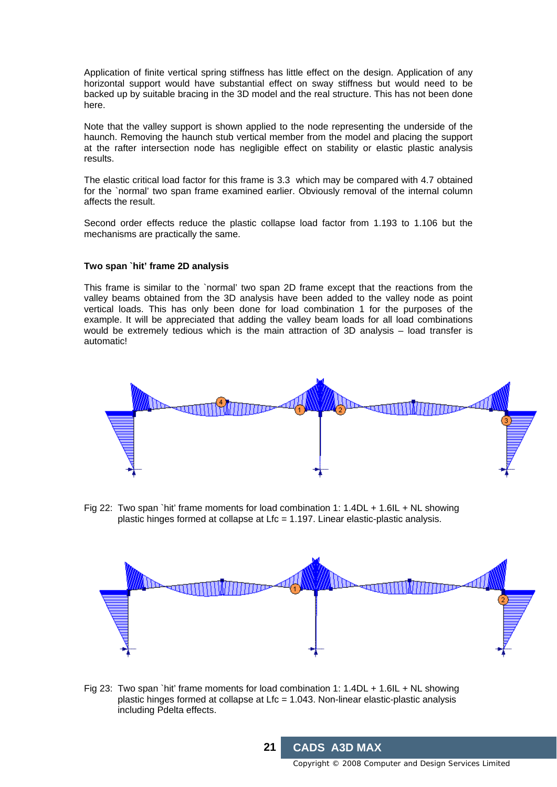Application of finite vertical spring stiffness has little effect on the design. Application of any horizontal support would have substantial effect on sway stiffness but would need to be backed up by suitable bracing in the 3D model and the real structure. This has not been done here.

Note that the valley support is shown applied to the node representing the underside of the haunch. Removing the haunch stub vertical member from the model and placing the support at the rafter intersection node has negligible effect on stability or elastic plastic analysis results.

The elastic critical load factor for this frame is 3.3 which may be compared with 4.7 obtained for the `normal' two span frame examined earlier. Obviously removal of the internal column affects the result.

Second order effects reduce the plastic collapse load factor from 1.193 to 1.106 but the mechanisms are practically the same.

#### **Two span `hit' frame 2D analysis**

This frame is similar to the `normal' two span 2D frame except that the reactions from the valley beams obtained from the 3D analysis have been added to the valley node as point vertical loads. This has only been done for load combination 1 for the purposes of the example. It will be appreciated that adding the valley beam loads for all load combinations would be extremely tedious which is the main attraction of 3D analysis – load transfer is automatic!



Fig 22: Two span `hit' frame moments for load combination 1: 1.4DL + 1.6IL + NL showing plastic hinges formed at collapse at Lfc = 1.197. Linear elastic-plastic analysis.



Fig 23: Two span `hit' frame moments for load combination 1: 1.4DL + 1.6IL + NL showing plastic hinges formed at collapse at Lfc = 1.043. Non-linear elastic-plastic analysis including Pdelta effects.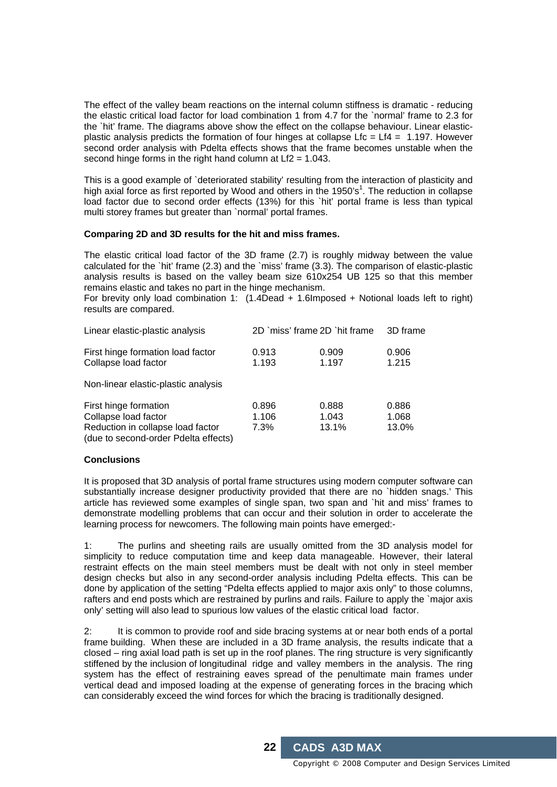The effect of the valley beam reactions on the internal column stiffness is dramatic - reducing the elastic critical load factor for load combination 1 from 4.7 for the `normal' frame to 2.3 for the `hit' frame. The diagrams above show the effect on the collapse behaviour. Linear elasticplastic analysis predicts the formation of four hinges at collapse  $Lfc = Lf4 = 1.197$ . However second order analysis with Pdelta effects shows that the frame becomes unstable when the second hinge forms in the right hand column at  $Lf2 = 1.043$ .

This is a good example of `deteriorated stability' resulting from the interaction of plasticity and high axial force as first reported by Wood and others in the 1950's<sup>1</sup>. The reduction in collapse load factor due to second order effects (13%) for this `hit' portal frame is less than typical multi storey frames but greater than `normal' portal frames.

#### **Comparing 2D and 3D results for the hit and miss frames.**

The elastic critical load factor of the 3D frame (2.7) is roughly midway between the value calculated for the `hit' frame (2.3) and the `miss' frame (3.3). The comparison of elastic-plastic analysis results is based on the valley beam size 610x254 UB 125 so that this member remains elastic and takes no part in the hinge mechanism.

For brevity only load combination 1: (1.4Dead + 1.6Imposed + Notional loads left to right) results are compared.

| Linear elastic-plastic analysis                                                                                            | 2D `miss' frame 2D `hit frame |                         | 3D frame                |
|----------------------------------------------------------------------------------------------------------------------------|-------------------------------|-------------------------|-------------------------|
| First hinge formation load factor<br>Collapse load factor                                                                  | 0.913<br>1.193                | 0.909<br>1.197          | 0.906<br>1.215          |
| Non-linear elastic-plastic analysis                                                                                        |                               |                         |                         |
| First hinge formation<br>Collapse load factor<br>Reduction in collapse load factor<br>(due to second-order Pdelta effects) | 0.896<br>1.106<br>7.3%        | 0.888<br>1.043<br>13.1% | 0.886<br>1.068<br>13.0% |

#### **Conclusions**

It is proposed that 3D analysis of portal frame structures using modern computer software can substantially increase designer productivity provided that there are no `hidden snags.' This article has reviewed some examples of single span, two span and `hit and miss' frames to demonstrate modelling problems that can occur and their solution in order to accelerate the learning process for newcomers. The following main points have emerged:-

1: The purlins and sheeting rails are usually omitted from the 3D analysis model for simplicity to reduce computation time and keep data manageable. However, their lateral restraint effects on the main steel members must be dealt with not only in steel member design checks but also in any second-order analysis including Pdelta effects. This can be done by application of the setting "Pdelta effects applied to major axis only" to those columns, rafters and end posts which are restrained by purlins and rails. Failure to apply the `major axis only' setting will also lead to spurious low values of the elastic critical load factor.

2: It is common to provide roof and side bracing systems at or near both ends of a portal frame building. When these are included in a 3D frame analysis, the results indicate that a closed – ring axial load path is set up in the roof planes. The ring structure is very significantly stiffened by the inclusion of longitudinal ridge and valley members in the analysis. The ring system has the effect of restraining eaves spread of the penultimate main frames under vertical dead and imposed loading at the expense of generating forces in the bracing which can considerably exceed the wind forces for which the bracing is traditionally designed.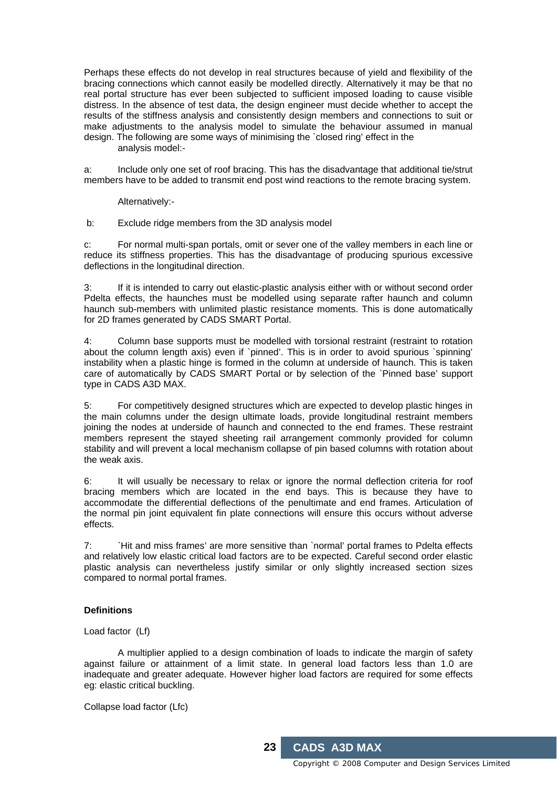Perhaps these effects do not develop in real structures because of yield and flexibility of the bracing connections which cannot easily be modelled directly. Alternatively it may be that no real portal structure has ever been subjected to sufficient imposed loading to cause visible distress. In the absence of test data, the design engineer must decide whether to accept the results of the stiffness analysis and consistently design members and connections to suit or make adjustments to the analysis model to simulate the behaviour assumed in manual design. The following are some ways of minimising the `closed ring' effect in the analysis model:-

a: Include only one set of roof bracing. This has the disadvantage that additional tie/strut members have to be added to transmit end post wind reactions to the remote bracing system.

Alternatively:-

b: Exclude ridge members from the 3D analysis model

c: For normal multi-span portals, omit or sever one of the valley members in each line or reduce its stiffness properties. This has the disadvantage of producing spurious excessive deflections in the longitudinal direction.

3: If it is intended to carry out elastic-plastic analysis either with or without second order Pdelta effects, the haunches must be modelled using separate rafter haunch and column haunch sub-members with unlimited plastic resistance moments. This is done automatically for 2D frames generated by CADS SMART Portal.

4: Column base supports must be modelled with torsional restraint (restraint to rotation about the column length axis) even if `pinned'. This is in order to avoid spurious `spinning' instability when a plastic hinge is formed in the column at underside of haunch. This is taken care of automatically by CADS SMART Portal or by selection of the `Pinned base' support type in CADS A3D MAX.

5: For competitively designed structures which are expected to develop plastic hinges in the main columns under the design ultimate loads, provide longitudinal restraint members joining the nodes at underside of haunch and connected to the end frames. These restraint members represent the stayed sheeting rail arrangement commonly provided for column stability and will prevent a local mechanism collapse of pin based columns with rotation about the weak axis.

6: It will usually be necessary to relax or ignore the normal deflection criteria for roof bracing members which are located in the end bays. This is because they have to accommodate the differential deflections of the penultimate and end frames. Articulation of the normal pin joint equivalent fin plate connections will ensure this occurs without adverse effects.

7: `Hit and miss frames' are more sensitive than `normal' portal frames to Pdelta effects and relatively low elastic critical load factors are to be expected. Careful second order elastic plastic analysis can nevertheless justify similar or only slightly increased section sizes compared to normal portal frames.

#### **Definitions**

Load factor (Lf)

 A multiplier applied to a design combination of loads to indicate the margin of safety against failure or attainment of a limit state. In general load factors less than 1.0 are inadequate and greater adequate. However higher load factors are required for some effects eg: elastic critical buckling.

Collapse load factor (Lfc)